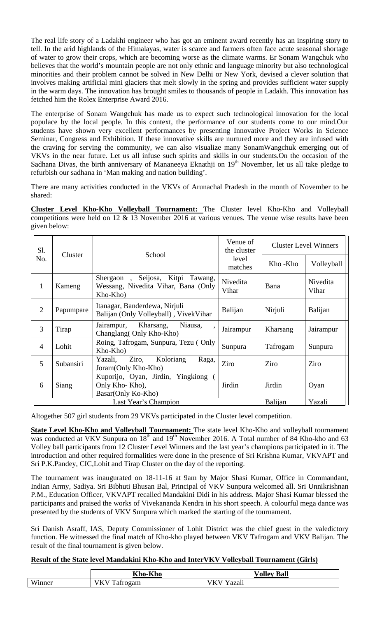The real life story of a Ladakhi engineer who has got an eminent award recently has an inspiring story to tell. In the arid highlands of the Himalayas, water is scarce and farmers often face acute seasonal shortage of water to grow their crops, which are becoming worse as the climate warms. Er Sonam Wangchuk who believes that the world's mountain people are not only ethnic and language minority but also technological minorities and their problem cannot be solved in New Delhi or New York, devised a clever solution that involves making artificial mini glaciers that melt slowly in the spring and provides sufficient water supply in the warm days. The innovation has brought smiles to thousands of people in Ladakh. This innovation has fetched him the Rolex Enterprise Award 2016.

The enterprise of Sonam Wangchuk has made us to expect such technological innovation for the local populace by the local people. In this context, the performance of our students come to our mind.Our students have shown very excellent performances by presenting Innovative Project Works in Science Seminar, Congress and Exhibition. If these innovative skills are nurtured more and they are infused with the craving for serving the community, we can also visualize many SonamWangchuk emerging out of VKVs in the near future. Let us all infuse such spirits and skills in our students.On the occasion of the Sadhana Divas, the birth anniversary of Mananeeya Eknathji on 19<sup>th</sup> November, let us all take pledge to refurbish our sadhana in 'Man making and nation building'.

There are many activities conducted in the VKVs of Arunachal Pradesh in the month of November to be shared:

**Cluster Level Kho-Kho Volleyball Tournament:** The Cluster level Kho-Kho and Volleyball competitions were held on 12 & 13 November 2016 at various venues. The venue wise results have been given below:

| Sl.<br>No.     | Cluster                                                                            | School                                                                                | Venue of<br>the cluster<br>level<br>matches | <b>Cluster Level Winners</b> |                   |
|----------------|------------------------------------------------------------------------------------|---------------------------------------------------------------------------------------|---------------------------------------------|------------------------------|-------------------|
|                |                                                                                    |                                                                                       |                                             | Kho-Kho                      | Volleyball        |
| $\mathbf{1}$   | Kameng                                                                             | Seijosa, Kitpi Tawang,<br>Shergaon<br>Wessang, Nivedita Vihar, Bana (Only<br>Kho-Kho) | Nivedita<br>Vihar                           | Bana                         | Nivedita<br>Vihar |
| $\overline{2}$ | Papumpare                                                                          | Itanagar, Banderdewa, Nirjuli<br>Balijan (Only Volleyball), VivekVihar                | Balijan                                     | Nirjuli                      | Balijan           |
| 3              | Tirap                                                                              | Kharsang,<br>Niausa,<br>Jairampur,<br>Changlang (Only Kho-Kho)                        | Jairampur                                   | Kharsang                     | Jairampur         |
| $\overline{4}$ | Lohit                                                                              | Roing, Tafrogam, Sunpura, Tezu (Only<br>Kho-Kho)                                      | Sunpura                                     | Tafrogam                     | Sunpura           |
| 5              | Subansiri                                                                          | Koloriang<br>Yazali,<br>Ziro,<br>Raga,<br>Joram (Only Kho-Kho)                        | Ziro                                        | Ziro                         | Ziro              |
| 6              | Kuporijo, Oyan, Jirdin, Yingkiong<br>Siang<br>Only Kho-Kho),<br>Basar(Only Ko-Kho) |                                                                                       | Jirdin                                      | Jirdin                       | Oyan              |
|                |                                                                                    |                                                                                       | Balijan                                     | Yazali                       |                   |

Altogether 507 girl students from 29 VKVs participated in the Cluster level competition.

**State Level Kho-Kho and Volleyball Tournament:** The state level Kho-Kho and volleyball tournament was conducted at VKV Sunpura on  $18<sup>th</sup>$  and  $19<sup>th</sup>$  November 2016. A Total number of 84 Kho-kho and 63 Volley ball participants from 12 Cluster Level Winners and the last year's champions participated in it. The introduction and other required formalities were done in the presence of Sri Krishna Kumar, VKVAPT and Sri P.K.Pandey, CIC,Lohit and Tirap Cluster on the day of the reporting.

The tournament was inaugurated on 18-11-16 at 9am by Major Shasi Kumar, Office in Commandant, Indian Army, Sadiya. Sri Bibhuti Bhusan Bal, Principal of VKV Sunpura welcomed all. Sri Unnikrishnan P.M., Education Officer, VKVAPT recalled Mandakini Didi in his address. Major Shasi Kumar blessed the participants and praised the works of Vivekananda Kendra in his short speech. A colourful mega dance was presented by the students of VKV Sunpura which marked the starting of the tournament.

Sri Danish Asraff, IAS, Deputy Commissioner of Lohit District was the chief guest in the valedictory function. He witnessed the final match of Kho-kho played between VKV Tafrogam and VKV Balijan. The result of the final tournament is given below.

## **Result of the State level Mandakini Kho-Kho and InterVKV Volleyball Tournament (Girls)**

|                             | T/T1<br>TZI<br>Kho-Kho      | <b>Ball</b><br>$\sqrt{\rm$  |
|-----------------------------|-----------------------------|-----------------------------|
| T T T<br>w <sub>inner</sub> | m<br>Vŀ<br>ogam<br>v<br>. . | . .<br>° azan<br>v r<br>. . |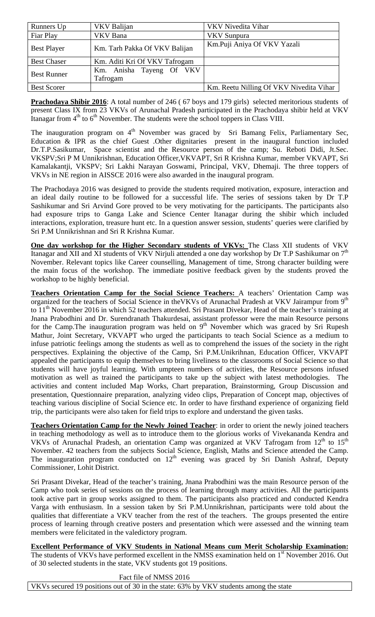| Runners Up         | VKV Balijan                          | VKV Nivedita Vihar                      |
|--------------------|--------------------------------------|-----------------------------------------|
| Fiar Play          | VKV Bana                             | <b>VKV</b> Sunpura                      |
| <b>Best Player</b> | Km. Tarh Pakka Of VKV Balijan        | Km.Puji Aniya Of VKV Yazali             |
| <b>Best Chaser</b> | Km. Aditi Kri Of VKV Tafrogam        |                                         |
| <b>Best Runner</b> | Km. Anisha Tayeng Of VKV<br>Tafrogam |                                         |
| <b>Best Scorer</b> |                                      | Km. Reetu Nilling Of VKV Nivedita Vihar |

**Prachodaya Shibir 2016**: A total number of 246 ( 67 boys and 179 girls) selected meritorious students of present Class IX from 23 VKVs of Arunachal Pradesh participated in the Prachodaya shibir held at VKV Itanagar from 4<sup>th</sup> to 6<sup>th</sup> November. The students were the school toppers in Class VIII.

The inauguration program on 4<sup>th</sup> November was graced by Sri Bamang Felix, Parliamentary Sec, Education & IPR as the chief Guest .Other dignitaries present in the inaugural function included Dr.T.P.Sasikumar, Space scientist and the Resource person of the camp; Su. Reboti Didi, Jt.Sec. VKSPV;Sri P M Unnikrishnan, Education Officer,VKVAPT, Sri R Krishna Kumar, member VKVAPT, Sri Kamalakantji, VKSPV; Sri Lakhi Narayan Goswami, Principal, VKV, Dhemaji. The three toppers of VKVs in NE region in AISSCE 2016 were also awarded in the inaugural program.

The Prachodaya 2016 was designed to provide the students required motivation, exposure, interaction and an ideal daily routine to be followed for a successful life. The series of sessions taken by Dr T.P Sashikumar and Sri Arvind Gore proved to be very motivating for the participants. The participants also had exposure trips to Ganga Lake and Science Center Itanagar during the shibir which included interactions, exploration, treasure hunt etc. In a question answer session, students' queries were clarified by Sri P.M Unnikrishnan and Sri R Krishna Kumar.

**One day workshop for the Higher Secondary students of VKVs:** The Class XII students of VKV Itanagar and XII and XI students of VKV Nirjuli attended a one day workshop by Dr T.P Sashikumar on 7<sup>th</sup> November. Relevant topics like Career counselling, Management of time, Strong character building were the main focus of the workshop. The immediate positive feedback given by the students proved the workshop to be highly beneficial.

**Teachers Orientation Camp for the Social Science Teachers:** A teachers' Orientation Camp was organized for the teachers of Social Science in theVKVs of Arunachal Pradesh at VKV Jairampur from 9<sup>th</sup> to 11<sup>th</sup> November 2016 in which 52 teachers attended. Sri Prasant Divekar, Head of the teacher's training at Jnana Prabodhini and Dr. Surendranath Thakurdesai, assistant professor were the main Resource persons for the Camp. The inauguration program was held on  $9<sup>th</sup>$  November which was graced by Sri Rupesh Mathur, Joint Secretary, VKVAPT who urged the participants to teach Social Science as a medium to infuse patriotic feelings among the students as well as to comprehend the issues of the society in the right perspectives. Explaining the objective of the Camp, Sri P.M.Unikrihnan, Education Officer, VKVAPT appealed the participants to equip themselves to bring liveliness to the classrooms of Social Science so that students will have joyful learning. With umpteen numbers of activities, the Resource persons infused motivation as well as trained the participants to take up the subject with latest methodologies. The activities and content included Map Works, Chart preparation, Brainstorming, Group Discussion and presentation, Questionnaire preparation, analyzing video clips, Preparation of Concept map, objectives of teaching various discipline of Social Science etc. In order to have firsthand experience of organizing field trip, the participants were also taken for field trips to explore and understand the given tasks.

**Teachers Orientation Camp for the Newly Joined Teacher**: in order to orient the newly joined teachers in teaching methodology as well as to introduce them to the glorious works of Vivekananda Kendra and VKVs of Arunachal Pradesh, an orientation Camp was organized at VKV Tafrogam from 12<sup>th</sup> to 15<sup>th</sup> November. 42 teachers from the subjects Social Science, English, Maths and Science attended the Camp. The inauguration program conducted on  $12<sup>th</sup>$  evening was graced by Sri Danish Ashraf, Deputy Commissioner, Lohit District.

Sri Prasant Divekar, Head of the teacher's training, Jnana Prabodhini was the main Resource person of the Camp who took series of sessions on the process of learning through many activities. All the participants took active part in group works assigned to them. The participants also practiced and conducted Kendra Varga with enthusiasm. In a session taken by Sri P.M.Unnikrishnan, participants were told about the qualities that differentiate a VKV teacher from the rest of the teachers. The groups presented the entire process of learning through creative posters and presentation which were assessed and the winning team members were felicitated in the valedictory program.

**Excellent Performance of VKV Students in National Means cum Merit Scholarship Examination:** 

The students of VKVs have performed excellent in the NMSS examination held on 1<sup>st</sup> November 2016. Out of 30 selected students in the state, VKV students got 19 positions.

Fact file of NMSS 2016

VKVs secured 19 positions out of 30 in the state: 63% by VKV students among the state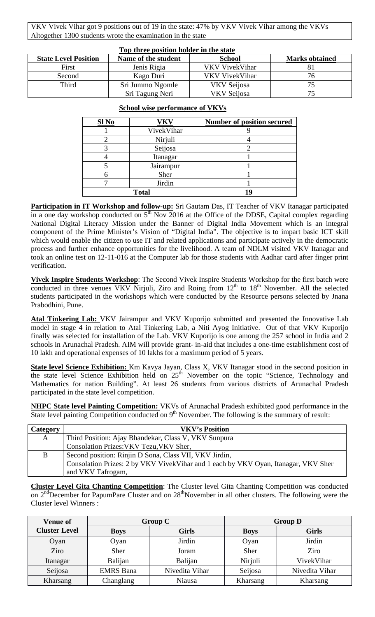VKV Vivek Vihar got 9 positions out of 19 in the state: 47% by VKV Vivek Vihar among the VKVs Altogether 1300 students wrote the examination in the state

| Top three position holder in the state |                     |                |                       |  |  |
|----------------------------------------|---------------------|----------------|-----------------------|--|--|
| <b>State Level Position</b>            | Name of the student | <b>School</b>  | <b>Marks obtained</b> |  |  |
| First                                  | Jenis Rigia         | VKV VivekVihar |                       |  |  |
| Second                                 | Kago Duri           | VKV VivekVihar | 76                    |  |  |
| Third                                  | Sri Jummo Ngomle    | VKV Seijosa    |                       |  |  |
|                                        | Sri Tagung Neri     | VKV Seijosa    |                       |  |  |

| Sl No      | VKV          | <b>Number of position secured</b> |
|------------|--------------|-----------------------------------|
| VivekVihar |              |                                   |
|            | Nirjuli      |                                   |
|            | Seijosa      |                                   |
|            | Itanagar     |                                   |
|            | Jairampur    |                                   |
|            | Sher         |                                   |
|            | Jirdin       |                                   |
|            | <b>Total</b> |                                   |

## **School wise performance of VKVs**

**Participation in IT Workshop and follow-up:** Sri Gautam Das, IT Teacher of VKV Itanagar participated in a one day workshop conducted on  $5<sup>th</sup>$  Nov 2016 at the Office of the DDSE, Capital complex regarding National Digital Literacy Mission under the Banner of Digital India Movement which is an integral component of the Prime Minister's Vision of "Digital India". The objective is to impart basic ICT skill which would enable the citizen to use IT and related applications and participate actively in the democratic process and further enhance opportunities for the livelihood. A team of NDLM visited VKV Itanagar and took an online test on 12-11-016 at the Computer lab for those students with Aadhar card after finger print verification.

**Vivek Inspire Students Workshop**: The Second Vivek Inspire Students Workshop for the first batch were conducted in three venues VKV Nirjuli, Ziro and Roing from  $12<sup>th</sup>$  to  $18<sup>th</sup>$  November. All the selected students participated in the workshops which were conducted by the Resource persons selected by Jnana Prabodhini, Pune.

Atal Tinkering Lab: VKV Jairampur and VKV Kuporijo submitted and presented the Innovative Lab model in stage 4 in relation to Atal Tinkering Lab, a Niti Ayog Initiative. Out of that VKV Kuporijo finally was selected for installation of the Lab. VKV Kuporijo is one among the 257 school in India and 2 schools in Arunachal Pradesh. AIM will provide grant- in-aid that includes a one-time establishment cost of 10 lakh and operational expenses of 10 lakhs for a maximum period of 5 years.

**State level Science Exhibition:** Km Kavya Jayan, Class X, VKV Itanagar stood in the second position in the state level Science Exhibition held on 25<sup>th</sup> November on the topic "Science, Technology and Mathematics for nation Building". At least 26 students from various districts of Arunachal Pradesh participated in the state level competition.

**NHPC State level Painting Competition:** VKVs of Arunachal Pradesh exhibited good performance in the State level painting Competition conducted on  $9<sup>th</sup>$  November. The following is the summary of result:

| <b>Category</b> | <b>VKV's Position</b>                                                              |
|-----------------|------------------------------------------------------------------------------------|
| A               | Third Position: Ajay Bhandekar, Class V, VKV Sunpura                               |
|                 | Consolation Prizes: VKV Tezu, VKV Sher,                                            |
| B               | Second position: Rinjin D Sona, Class VII, VKV Jirdin,                             |
|                 | Consolation Prizes: 2 by VKV VivekVihar and 1 each by VKV Oyan, Itanagar, VKV Sher |
|                 | and VKV Tafrogam,                                                                  |

**Cluster Level Gita Chanting Competition**: The Cluster level Gita Chanting Competition was conducted on 2<sup>nd</sup>December for PapumPare Cluster and on 28<sup>th</sup>November in all other clusters. The following were the Cluster level Winners :

| <b>Venue of</b>      | <b>Group C</b>   |                | <b>Group D</b> |                |
|----------------------|------------------|----------------|----------------|----------------|
| <b>Cluster Level</b> | <b>Boys</b>      | <b>Girls</b>   | <b>Boys</b>    | <b>Girls</b>   |
| Oyan                 | Oyan             | Jirdin         | Oyan           | Jirdin         |
| Ziro                 | Sher             | Joram          | Sher           | Ziro           |
| Itanagar             | Balijan          | Balijan        | Nirjuli        | VivekVihar     |
| Seijosa              | <b>EMRS</b> Bana | Nivedita Vihar | Seijosa        | Nivedita Vihar |
| Kharsang             | Changlang        | Niausa         | Kharsang       | Kharsang       |